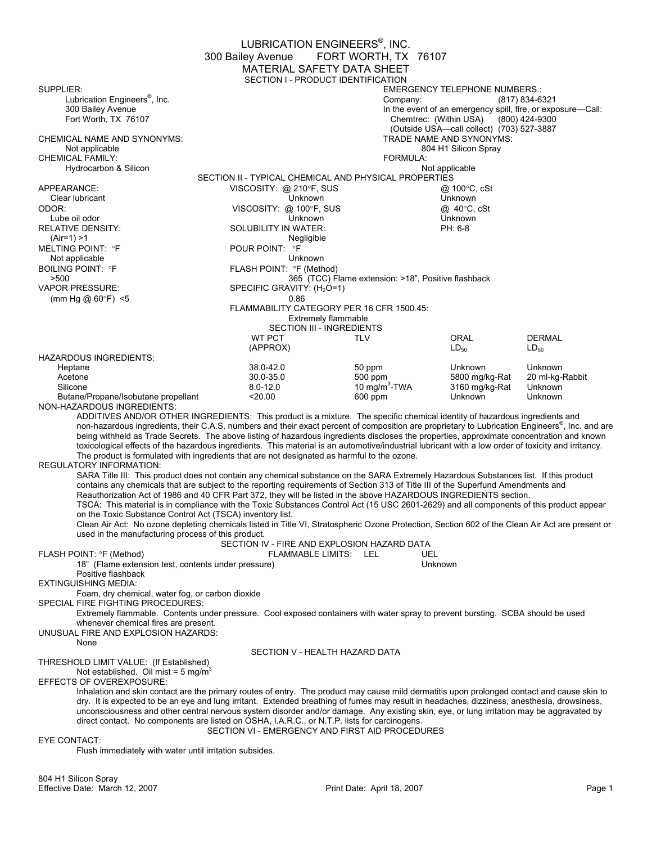EUBRICATION ENGINEERS<sup>®</sup>, INC. 300 Bailey Avenue FORT WORTH, TX 76107 MATERIAL SAFETY DATA SHEET SECTION I - PRODUCT IDENTIFICATION SUPPLIER:<br>
Lubrication Engineers<sup>®</sup>, Inc.<br>
Company: (817) 834-6: Lubrication Engineers<sup>®</sup>, Inc.<br>300 Bailey Avenue (817) 834-6321 300 Bailey Avenue 100 Bailey Avenue In the event of an emergency spill, fire, or exposure—Call:<br>
300 Bailey Avenue 100 Chemtrec: (Within USA) (800) 424-9300 Chemtrec: (Within USA) (Outside USA—call collect) (703) 527-3887 CHEMICAL NAME AND SYNONYMS: Not applicable 804 H1 Silicon Spray CHEMICAL FAMILY: FORMULA: Hydrocarbon & Silicon SECTION II - TYPICAL CHEMICAL AND PHYSICAL PROPERTIES APPEARANCE:  $\begin{array}{ccc}\n\bullet & \bullet & \bullet & \bullet \\
\bullet & \bullet & \bullet & \bullet & \bullet\n\end{array}$  VISCOSITY: @ 210°F, SUS  $\begin{array}{ccc}\n\bullet & \bullet & \bullet & \bullet \\
\bullet & \bullet & \bullet & \bullet & \bullet\n\end{array}$  and  $\begin{array}{ccc}\n\bullet & \bullet & \bullet & \bullet & \bullet \\
\bullet & \bullet & \bullet & \bullet & \bullet & \bullet\n\end{array}$ Clear lubricant ODOR: VISCOSITY: @ 100°F, SUS @ 40°C, cSt Lube oil odor Unknown Unknown RELATIVE DENSITY: SOLUBILITY IN WATER: PH: 6-8 (Air=1) >1 Negligible MELTING POINT: °F Not applicable Unknown<br>BOILING POINT: °F THE UNITY OF THE POINT: °F (Meth BOILING POINT: °F FLASH POINT: °F (Method) >500 500 >500 365 (TCC) Flame extension: >18", Positive flashback<br>VAPOR PRESSURE: SPECIFIC GRAVITY: (H<sub>2</sub>O=1) SPECIFIC GRAVITY:  $(H_2O=1)$ <br>0.86 (mm Hg @  $60^{\circ}$ F) <5 FLAMMABILITY CATEGORY PER 16 CFR 1500.45: Extremely flammable SECTION III - INGREDIENTS WT PCT TLV ORAL DERMAL  $\mathsf{L}\mathsf{D}_{50}$   $\mathsf{L}\mathsf{D}_{50}$   $\mathsf{L}\mathsf{D}_{50}$ HAZARDOUS INGREDIENTS: Heptane 38.0-42.0 50 ppm Unknown Unknown Acetone 30.0-35.0 500 ppm 5800 mg/kg-Rat 20 ml-kg-Rabbit Silicone 19 mg/m<sup>3</sup>-TWA<br>Butane/Propane/Isobutane propellant the section of the section of the section of the section of the section of<br>COLOREX 20.00 10 mg/m<sup>3</sup>-TWA 3160 mg/kg-Rat Unknown<br>Unknown Unknown Butane/Propane/Isobutane propellant NON-HAZARDOUS INGREDIENTS: ADDITIVES AND/OR OTHER INGREDIENTS: This product is a mixture. The specific chemical identity of hazardous ingredients and non-hazardous ingredients, their C.A.S. numbers and their exact percent of composition are proprietary to Lubrication Engineers® , Inc. and are being withheld as Trade Secrets. The above listing of hazardous ingredients discloses the properties, approximate concentration and known toxicological effects of the hazardous ingredients. This material is an automotive/industrial lubricant with a low order of toxicity and irritancy. The product is formulated with ingredients that are not designated as harmful to the ozone. REGULATORY INFORMATION: SARA Title III: This product does not contain any chemical substance on the SARA Extremely Hazardous Substances list. If this product contains any chemicals that are subject to the reporting requirements of Section 313 of Title III of the Superfund Amendments and Reauthorization Act of 1986 and 40 CFR Part 372, they will be listed in the above HAZARDOUS INGREDIENTS section. TSCA: This material is in compliance with the Toxic Substances Control Act (15 USC 2601-2629) and all components of this product appear on the Toxic Substance Control Act (TSCA) inventory list. Clean Air Act: No ozone depleting chemicals listed in Title VI, Stratospheric Ozone Protection, Section 602 of the Clean Air Act are present or used in the manufacturing process of this product. SECTION IV - FIRE AND EXPLOSION HAZARD DATA<br>FLAMMABLE LIMITS: LEL UFI FLASH POINT: °F (Method) FLAMMABLE LIMITS: LEL 18" (Flame extension test, contents under pressure) Unknown Positive flashback EXTINGUISHING MEDIA: Foam, dry chemical, water fog, or carbon dioxide SPECIAL FIRE FIGHTING PROCEDURES: Extremely flammable. Contents under pressure. Cool exposed containers with water spray to prevent bursting. SCBA should be used whenever chemical fires are present. UNUSUAL FIRE AND EXPLOSION HAZARDS: None SECTION V - HEALTH HAZARD DATA THRESHOLD LIMIT VALUE: (If Established) Not established. Oil mist =  $5 \text{ mg/m}^3$ EFFECTS OF OVEREXPOSURE: Inhalation and skin contact are the primary routes of entry. The product may cause mild dermatitis upon prolonged contact and cause skin to dry. It is expected to be an eye and lung irritant. Extended breathing of fumes may result in headaches, dizziness, anesthesia, drowsiness, unconsciousness and other central nervous system disorder and/or damage. Any existing skin, eye, or lung irritation may be aggravated by direct contact. No components are listed on OSHA, I.A.R.C., or N.T.P. lists for carcinogens. SECTION VI - EMERGENCY AND FIRST AID PROCEDURES EYE CONTACT: Flush immediately with water until irritation subsides.

804 H1 Silicon Spray Effective Date: March 12, 2007 Print Date: April 18, 2007 Page 1